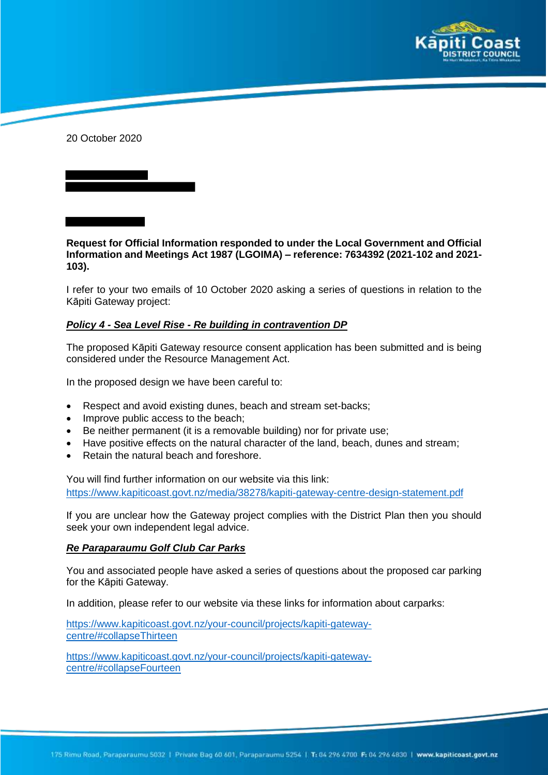

20 October 2020

**Request for Official Information responded to under the Local Government and Official Information and Meetings Act 1987 (LGOIMA) – reference: 7634392 (2021-102 and 2021- 103).**

I refer to your two emails of 10 October 2020 asking a series of questions in relation to the Kāpiti Gateway project:

## *Policy 4 - Sea Level Rise - Re building in contravention DP*

The proposed Kāpiti Gateway resource consent application has been submitted and is being considered under the Resource Management Act.

In the proposed design we have been careful to:

- Respect and avoid existing dunes, beach and stream set-backs;
- Improve public access to the beach;
- Be neither permanent (it is a removable building) nor for private use;
- Have positive effects on the natural character of the land, beach, dunes and stream;
- Retain the natural beach and foreshore.

You will find further information on our website via this link: https://www.kapiticoast.govt.nz/media/38278/kapiti-gateway-centre-design-statement.pdf

If you are unclear how the Gateway project complies with the District Plan then you should seek your own independent legal advice.

## *Re Paraparaumu Golf Club Car Parks*

You and associated people have asked a series of questions about the proposed car parking for the Kāpiti Gateway.

In addition, please refer to our website via these links for information about carparks:

https://www.kapiticoast.govt.nz/your-council/projects/kapiti-gatewaycentre/#collapseThirteen

https://www.kapiticoast.govt.nz/your-council/projects/kapiti-gatewaycentre/#collapseFourteen